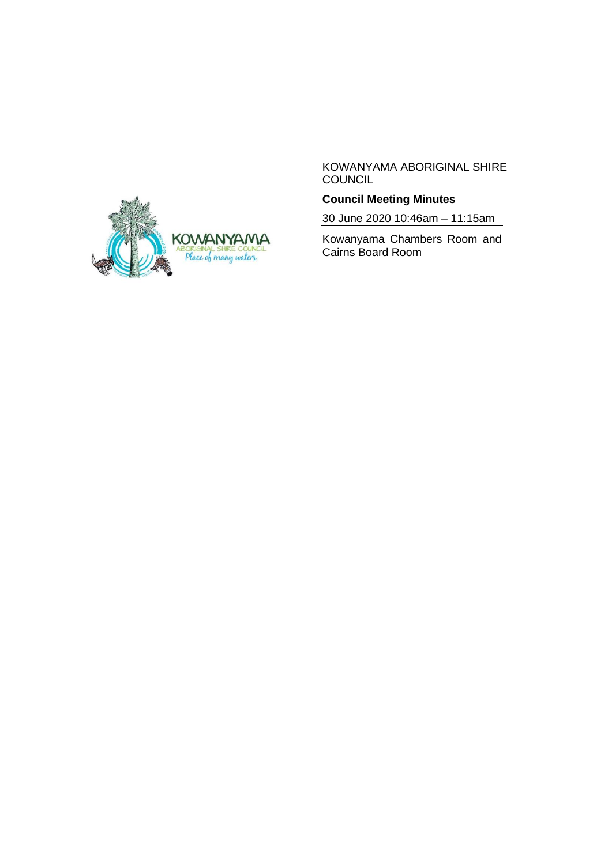

KOWANYAMA ABORIGINAL SHIRE COUNCIL

# **Council Meeting Minutes**

30 June 2020 10:46am – 11:15am

Kowanyama Chambers Room and Cairns Board Room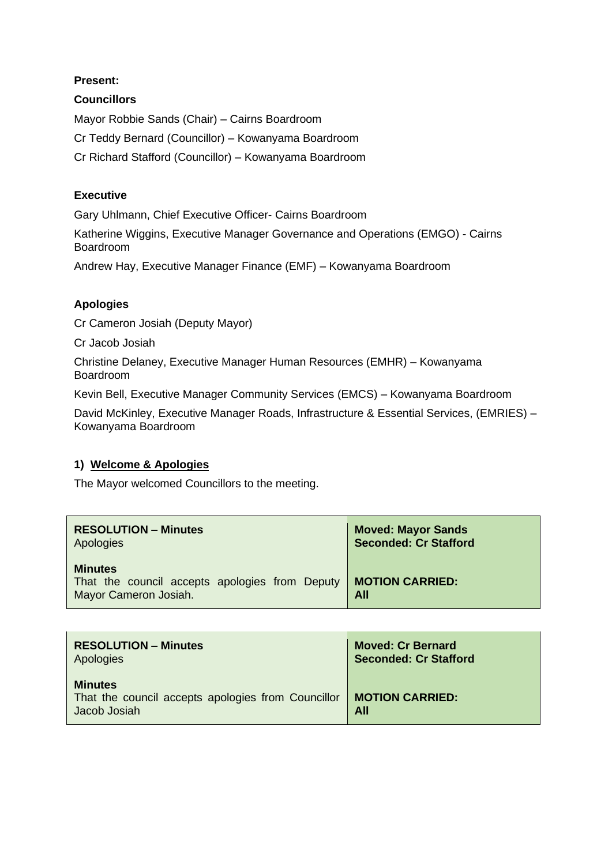### **Present:**

### **Councillors**

Mayor Robbie Sands (Chair) – Cairns Boardroom Cr Teddy Bernard (Councillor) – Kowanyama Boardroom Cr Richard Stafford (Councillor) – Kowanyama Boardroom

#### **Executive**

Gary Uhlmann, Chief Executive Officer- Cairns Boardroom

Katherine Wiggins, Executive Manager Governance and Operations (EMGO) - Cairns Boardroom

Andrew Hay, Executive Manager Finance (EMF) – Kowanyama Boardroom

## **Apologies**

Cr Cameron Josiah (Deputy Mayor)

Cr Jacob Josiah

Christine Delaney, Executive Manager Human Resources (EMHR) – Kowanyama Boardroom

Kevin Bell, Executive Manager Community Services (EMCS) – Kowanyama Boardroom

David McKinley, Executive Manager Roads, Infrastructure & Essential Services, (EMRIES) – Kowanyama Boardroom

#### **1) Welcome & Apologies**

The Mayor welcomed Councillors to the meeting.

| <b>RESOLUTION - Minutes</b>                                                               | <b>Moved: Mayor Sands</b>     |
|-------------------------------------------------------------------------------------------|-------------------------------|
| Apologies                                                                                 | <b>Seconded: Cr Stafford</b>  |
| <b>Minutes</b><br>That the council accepts apologies from Deputy<br>Mayor Cameron Josiah. | <b>MOTION CARRIED:</b><br>All |

| <b>RESOLUTION – Minutes</b>                                                          | <b>Moved: Cr Bernard</b>      |  |
|--------------------------------------------------------------------------------------|-------------------------------|--|
| Apologies                                                                            | <b>Seconded: Cr Stafford</b>  |  |
| <b>Minutes</b><br>That the council accepts apologies from Councillor<br>Jacob Josiah | <b>MOTION CARRIED:</b><br>All |  |